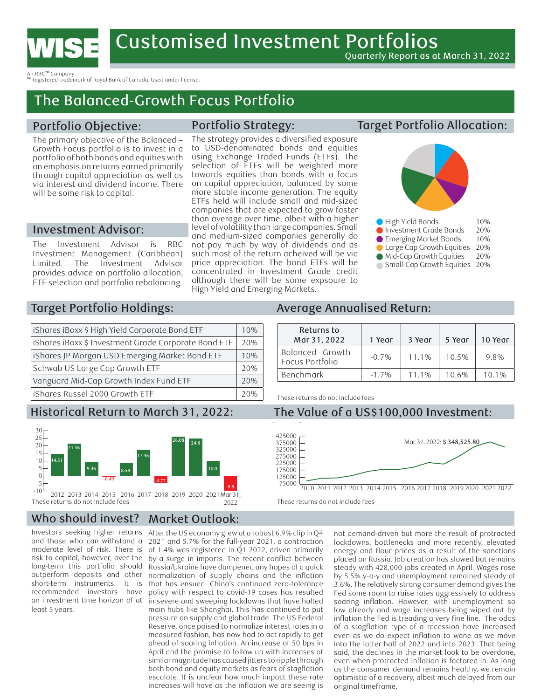

An RBC™ Company

™Registered trademark of Royal Bank of Canada. Used under license.

# The Balanced-Growth Focus Portfolio

## Portfolio Objective:

The primary objective of the Balanced – Growth Focus portfolio is to invest in a portfolio of both bonds and equities with an emphasis on returns earned primarily through capital appreciation as well as via interest and dividend income. There will be some risk to capital.

## Investment Advisor:

The Investment Advisor is RBC Investment Management (Caribbean) Limited. The Investment Advisor provides advice on portfolio allocation, ETF selection and portfolio rebalancing.

## Portfolio Strategy:

The strategy provides a diversified exposure to USD-denominated bonds and equities using Exchange Traded Funds (ETFs). The selection of ETFs will be weighted more towards equities than bonds with a focus on capital appreciation, balanced by some more stable income generation. The equity ETFs held will include small and mid-sized companies that are expected to grow faster than average over time, albeit with a higher level of volatility than large companies. Small and medium-sized companies generally do not pay much by way of dividends and as such most of the return acheived will be via price appreciation. The bond ETFs will be concentrated in Investment Grade credit although there will be some expsoure to High Yield and Emerging Markets.

## Target Portfolio Allocation:



| High Yield Bonds              | 10% |
|-------------------------------|-----|
| Investment Grade Bonds        | 20% |
| Emerging Market Bonds         | 10% |
| Large Cap Growth Equities     | 20% |
| Mid-Cap Growth Equities       | 20% |
| Small-Cap Growth Equities 20% |     |

### Target Portfolio Holdings:  $\overline{\phantom{a}}$

| iShares iBoxx \$ High Yield Corporate Bond ETF       | 10% |
|------------------------------------------------------|-----|
| iShares iBoxx \$ Investment Grade Corporate Bond ETF | 20% |
| iShares JP Morgan USD Emerging Market Bond ETF       | 10% |
| Schwab US Large Cap Growth ETF                       | 20% |
| Vanguard Mid-Cap Growth Index Fund ETF               | 20% |
| iShares Russel 2000 Growth ETF                       | 20% |

## Historical Return to March 31, 2022.



2022 These returns do not include fees

#### Who should invest? Market Outlook:

Investors seeking higher returns and those who can withstand a moderate level of risk. There is risk to capital, however, over the long-term this portfolio should outperform deposits and other short-term instruments. It is recommended investors have an investment time horizon of at least 5 years.

-10 normalization of supply chains and the inflation -5 Russia/Ukraine have dampened any hopes of a quick by a surge in imports. The recent conflict between of 1.4% was registered in Q1 2022, driven primarily 2021 and 5.7% for the full-year 2021, a contraction 15 21.36 After the US economy grew at a robust 6.9% clip in Q4 that has ensued. China's continued zero-tolerance policy with respect to covid-19 cases has resulted in severe and sweeping lockdowns that have halted main hubs like Shanghai. This has continued to put pressure on supply and global trade. The US Federal Reserve, once poised to normalize interest rates in a measured fashion, has now had to act rapidly to get ahead of soaring inflation. An increase of 50 bps in April and the promise to follow up with increases of similar magnitude has caused jitters to ripple through both bond and equity markets as fears of stagflation escalate. It is unclear how much impact these rate increases will have as the inflation we are seeing is

### Average Annualised Return:  $\overline{3}$

| Returns to<br>Mar 31, 2022           | Year     | 3 Year | 5 Year | 10 Year |
|--------------------------------------|----------|--------|--------|---------|
| Balanced - Growth<br>Focus Portfolio | $-0.7\%$ | 11.1%  | 10.5%  | 9.8%    |
| Benchmark                            | $-1.7\%$ | $1\%$  | 10.6%  | 10.1%   |

These returns do not include fees

#### Historical Return to March 31, 2022: The Value of a US\$100,000 Investment: 10  $\overline{0}$ 14.51 21.36 The Value of a l Small-Cap Growth Equities 20%



These returns do not include fees

20 30

> as the consumer demand remains healthy, we remain energy and flour prices as a result of the sanctions placed on Russia. Job creation has slowed but remains 17.46 not demand-driven but more the result of protracted steady with 428,000 jobs created in April. Wages rose 2012 2013 2014 2015 2016 2017 2018 2019 2020 2021 Mar 31, by 5.5% y-o-y and unemployment remained steady at erance 3.6%. The relatively strong consumer demand gives the lockdowns, bottlenecks and more recently, elevated Fed some room to raise rates aggressively to address soaring inflation. However, with unemployment so low already and wage increases being wiped out by inflation the Fed is treading a very fine line. The odds of a stagflation type of a recession have increased even as we do expect inflation to wane as we move into the latter half of 2022 and into 2023. That being said, the declines in the market look to be overdone, even when protracted inflation is factored in. As long optimistic of a recovery, albeit much delayed from our original timeframe.